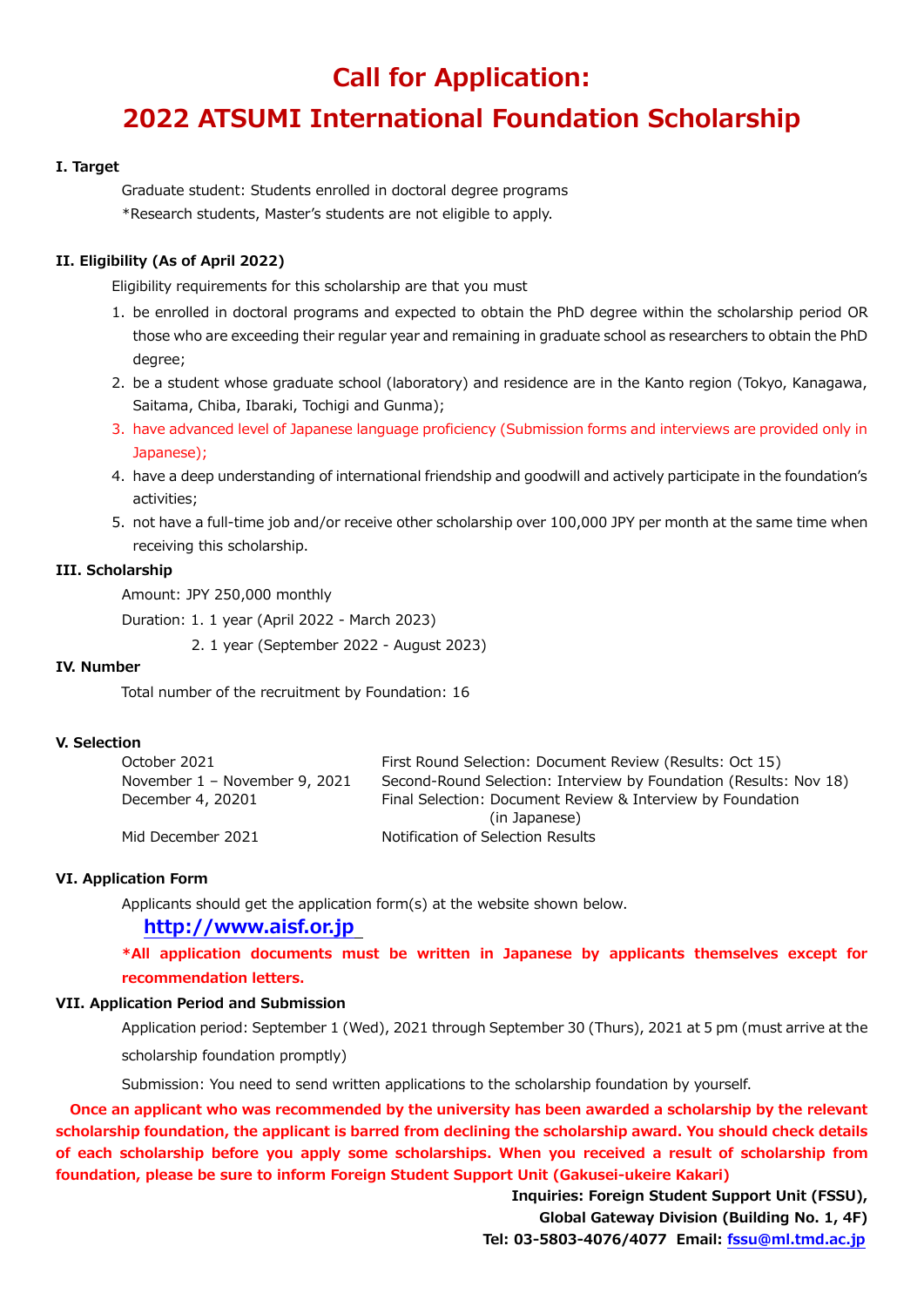## **Call for Application:**

# **2022 ATSUMI International Foundation Scholarship**

#### **I. Target**

Graduate student: Students enrolled in doctoral degree programs \*Research students, Master's students are not eligible to apply.

#### **II. Eligibility (As of April 2022)**

Eligibility requirements for this scholarship are that you must

- 1. be enrolled in doctoral programs and expected to obtain the PhD degree within the scholarship period OR those who are exceeding their regular year and remaining in graduate school as researchers to obtain the PhD degree;
- 2. be a student whose graduate school (laboratory) and residence are in the Kanto region (Tokyo, Kanagawa, Saitama, Chiba, Ibaraki, Tochigi and Gunma);
- 3. have advanced level of Japanese language proficiency (Submission forms and interviews are provided only in Japanese);
- 4. have a deep understanding of international friendship and goodwill and actively participate in the foundation's activities;
- 5. not have a full-time job and/or receive other scholarship over 100,000 JPY per month at the same time when receiving this scholarship.

#### **III. Scholarship**

Amount: JPY 250,000 monthly

Duration: 1. 1 year (April 2022 - March 2023)

2. 1 year (September 2022 - August 2023)

#### **IV. Number**

Total number of the recruitment by Foundation: 16

#### **V. Selection**

| October 2021                  | First Round Selection: Document Review (Results: Oct 15)          |
|-------------------------------|-------------------------------------------------------------------|
| November 1 – November 9, 2021 | Second-Round Selection: Interview by Foundation (Results: Nov 18) |
| December 4, 20201             | Final Selection: Document Review & Interview by Foundation        |
|                               | (in Japanese)                                                     |
| Mid December 2021             | Notification of Selection Results                                 |

#### **VI. Application Form**

Applicants should get the application form(s) at the website shown below.

#### **[http://www.aisf.or.jp](http://www.aisf.or.jp/)**

**\*All application documents must be written in Japanese by applicants themselves except for recommendation letters.**

#### **VII. Application Period and Submission**

Application period: September 1 (Wed), 2021 through September 30 (Thurs), 2021 at 5 pm (must arrive at the scholarship foundation promptly)

Submission: You need to send written applications to the scholarship foundation by yourself.

 **Once an applicant who was recommended by the university has been awarded a scholarship by the relevant scholarship foundation, the applicant is barred from declining the scholarship award. You should check details of each scholarship before you apply some scholarships. When you received a result of scholarship from foundation, please be sure to inform Foreign Student Support Unit (Gakusei-ukeire Kakari)**

> **Inquiries: Foreign Student Support Unit (FSSU), Global Gateway Division (Building No. 1, 4F) Tel: 03-5803-4076/4077 Email: [fssu@ml.tmd.ac.jp](mailto:fssu@ml.tmd.ac.jp)**